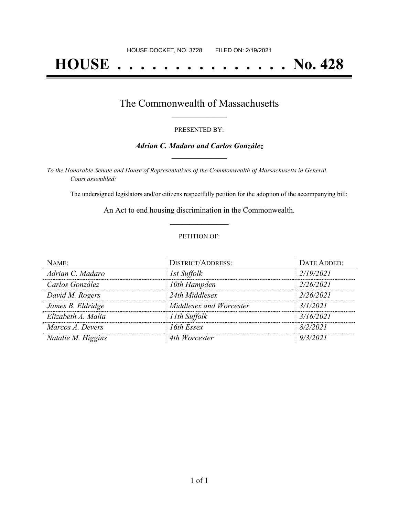# **HOUSE . . . . . . . . . . . . . . . No. 428**

### The Commonwealth of Massachusetts **\_\_\_\_\_\_\_\_\_\_\_\_\_\_\_\_\_**

#### PRESENTED BY:

#### *Adrian C. Madaro and Carlos González* **\_\_\_\_\_\_\_\_\_\_\_\_\_\_\_\_\_**

*To the Honorable Senate and House of Representatives of the Commonwealth of Massachusetts in General Court assembled:*

The undersigned legislators and/or citizens respectfully petition for the adoption of the accompanying bill:

An Act to end housing discrimination in the Commonwealth. **\_\_\_\_\_\_\_\_\_\_\_\_\_\_\_**

#### PETITION OF:

| NAME:              | <b>DISTRICT/ADDRESS:</b> | DATE ADDED: |
|--------------------|--------------------------|-------------|
| Adrian C. Madaro   | 1st Suffolk              | 2/19/2021   |
| Carlos González    | 10th Hampden             | 2/26/2021   |
| David M. Rogers    | 24th Middlesex           | 2/26/2021   |
| James B. Eldridge  | Middlesex and Worcester  | 3/1/2021    |
| Elizabeth A. Malia | 11th Suffolk             | 3/16/2021   |
| Marcos A. Devers   | 16th Essex               | 8/2/2021    |
| Natalie M. Higgins | 4th Worcester            | 9/3/2021    |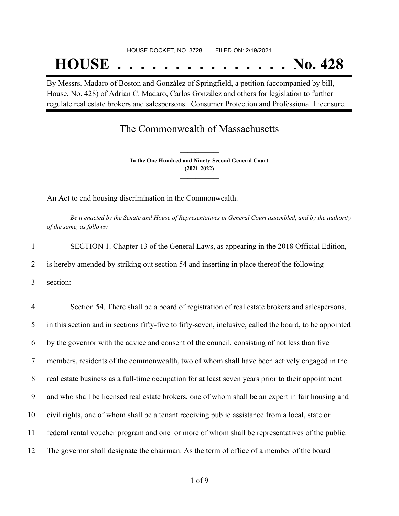## HOUSE DOCKET, NO. 3728 FILED ON: 2/19/2021

# **HOUSE . . . . . . . . . . . . . . . No. 428**

By Messrs. Madaro of Boston and González of Springfield, a petition (accompanied by bill, House, No. 428) of Adrian C. Madaro, Carlos González and others for legislation to further regulate real estate brokers and salespersons. Consumer Protection and Professional Licensure.

### The Commonwealth of Massachusetts

**In the One Hundred and Ninety-Second General Court (2021-2022) \_\_\_\_\_\_\_\_\_\_\_\_\_\_\_**

**\_\_\_\_\_\_\_\_\_\_\_\_\_\_\_**

An Act to end housing discrimination in the Commonwealth.

Be it enacted by the Senate and House of Representatives in General Court assembled, and by the authority *of the same, as follows:*

|   | SECTION 1. Chapter 13 of the General Laws, as appearing in the 2018 Official Edition,     |
|---|-------------------------------------------------------------------------------------------|
| 2 | is hereby amended by striking out section 54 and inserting in place thereof the following |
|   | section:-                                                                                 |
|   |                                                                                           |

 Section 54. There shall be a board of registration of real estate brokers and salespersons, in this section and in sections fifty-five to fifty-seven, inclusive, called the board, to be appointed by the governor with the advice and consent of the council, consisting of not less than five members, residents of the commonwealth, two of whom shall have been actively engaged in the real estate business as a full-time occupation for at least seven years prior to their appointment and who shall be licensed real estate brokers, one of whom shall be an expert in fair housing and civil rights, one of whom shall be a tenant receiving public assistance from a local, state or federal rental voucher program and one or more of whom shall be representatives of the public. The governor shall designate the chairman. As the term of office of a member of the board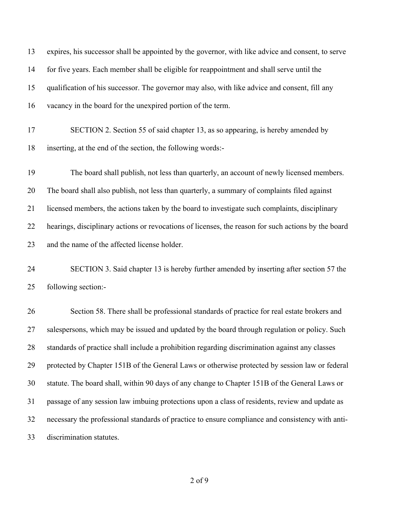| 13 | expires, his successor shall be appointed by the governor, with like advice and consent, to serve   |
|----|-----------------------------------------------------------------------------------------------------|
| 14 | for five years. Each member shall be eligible for reappointment and shall serve until the           |
| 15 | qualification of his successor. The governor may also, with like advice and consent, fill any       |
| 16 | vacancy in the board for the unexpired portion of the term.                                         |
| 17 | SECTION 2. Section 55 of said chapter 13, as so appearing, is hereby amended by                     |
| 18 | inserting, at the end of the section, the following words:-                                         |
| 19 | The board shall publish, not less than quarterly, an account of newly licensed members.             |
| 20 | The board shall also publish, not less than quarterly, a summary of complaints filed against        |
| 21 | licensed members, the actions taken by the board to investigate such complaints, disciplinary       |
| 22 | hearings, disciplinary actions or revocations of licenses, the reason for such actions by the board |
| 23 | and the name of the affected license holder.                                                        |
| 24 | SECTION 3. Said chapter 13 is hereby further amended by inserting after section 57 the              |
| 25 | following section:-                                                                                 |
| 26 | Section 58. There shall be professional standards of practice for real estate brokers and           |
| 27 | salespersons, which may be issued and updated by the board through regulation or policy. Such       |
| 28 | standards of practice shall include a prohibition regarding discrimination against any classes      |
| 29 | protected by Chapter 151B of the General Laws or otherwise protected by session law or federal      |
| 30 | statute. The board shall, within 90 days of any change to Chapter 151B of the General Laws or       |
| 31 | passage of any session law imbuing protections upon a class of residents, review and update as      |
| 32 | necessary the professional standards of practice to ensure compliance and consistency with anti-    |
| 33 | discrimination statutes.                                                                            |
|    |                                                                                                     |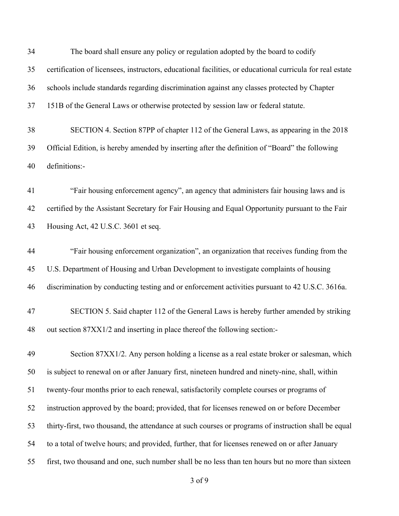The board shall ensure any policy or regulation adopted by the board to codify certification of licensees, instructors, educational facilities, or educational curricula for real estate schools include standards regarding discrimination against any classes protected by Chapter 151B of the General Laws or otherwise protected by session law or federal statute. SECTION 4. Section 87PP of chapter 112 of the General Laws, as appearing in the 2018

 Official Edition, is hereby amended by inserting after the definition of "Board" the following definitions:-

 "Fair housing enforcement agency", an agency that administers fair housing laws and is certified by the Assistant Secretary for Fair Housing and Equal Opportunity pursuant to the Fair Housing Act, 42 U.S.C. 3601 et seq.

 "Fair housing enforcement organization", an organization that receives funding from the U.S. Department of Housing and Urban Development to investigate complaints of housing discrimination by conducting testing and or enforcement activities pursuant to 42 U.S.C. 3616a.

## SECTION 5. Said chapter 112 of the General Laws is hereby further amended by striking out section 87XX1/2 and inserting in place thereof the following section:-

 Section 87XX1/2. Any person holding a license as a real estate broker or salesman, which is subject to renewal on or after January first, nineteen hundred and ninety-nine, shall, within twenty-four months prior to each renewal, satisfactorily complete courses or programs of instruction approved by the board; provided, that for licenses renewed on or before December thirty-first, two thousand, the attendance at such courses or programs of instruction shall be equal to a total of twelve hours; and provided, further, that for licenses renewed on or after January first, two thousand and one, such number shall be no less than ten hours but no more than sixteen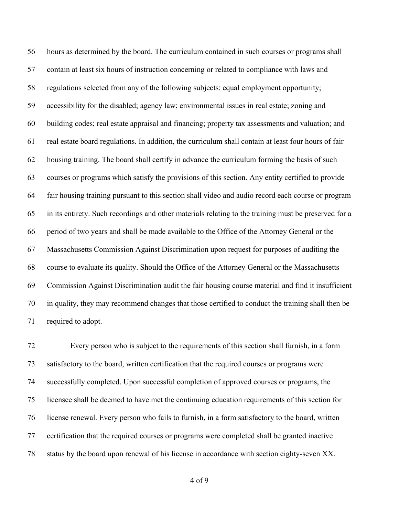hours as determined by the board. The curriculum contained in such courses or programs shall contain at least six hours of instruction concerning or related to compliance with laws and regulations selected from any of the following subjects: equal employment opportunity; accessibility for the disabled; agency law; environmental issues in real estate; zoning and building codes; real estate appraisal and financing; property tax assessments and valuation; and real estate board regulations. In addition, the curriculum shall contain at least four hours of fair housing training. The board shall certify in advance the curriculum forming the basis of such courses or programs which satisfy the provisions of this section. Any entity certified to provide fair housing training pursuant to this section shall video and audio record each course or program in its entirety. Such recordings and other materials relating to the training must be preserved for a period of two years and shall be made available to the Office of the Attorney General or the Massachusetts Commission Against Discrimination upon request for purposes of auditing the course to evaluate its quality. Should the Office of the Attorney General or the Massachusetts Commission Against Discrimination audit the fair housing course material and find it insufficient in quality, they may recommend changes that those certified to conduct the training shall then be required to adopt.

 Every person who is subject to the requirements of this section shall furnish, in a form satisfactory to the board, written certification that the required courses or programs were successfully completed. Upon successful completion of approved courses or programs, the licensee shall be deemed to have met the continuing education requirements of this section for license renewal. Every person who fails to furnish, in a form satisfactory to the board, written certification that the required courses or programs were completed shall be granted inactive status by the board upon renewal of his license in accordance with section eighty-seven XX.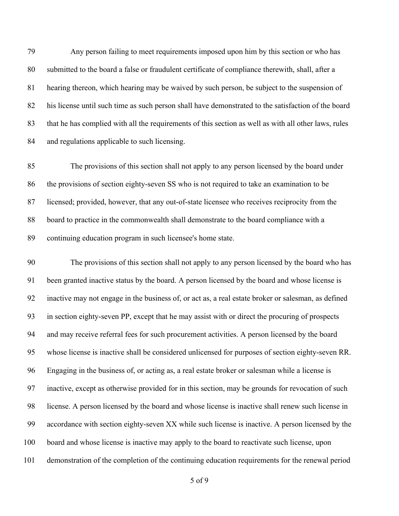Any person failing to meet requirements imposed upon him by this section or who has submitted to the board a false or fraudulent certificate of compliance therewith, shall, after a hearing thereon, which hearing may be waived by such person, be subject to the suspension of his license until such time as such person shall have demonstrated to the satisfaction of the board that he has complied with all the requirements of this section as well as with all other laws, rules and regulations applicable to such licensing.

 The provisions of this section shall not apply to any person licensed by the board under the provisions of section eighty-seven SS who is not required to take an examination to be licensed; provided, however, that any out-of-state licensee who receives reciprocity from the board to practice in the commonwealth shall demonstrate to the board compliance with a continuing education program in such licensee's home state.

 The provisions of this section shall not apply to any person licensed by the board who has been granted inactive status by the board. A person licensed by the board and whose license is inactive may not engage in the business of, or act as, a real estate broker or salesman, as defined in section eighty-seven PP, except that he may assist with or direct the procuring of prospects and may receive referral fees for such procurement activities. A person licensed by the board whose license is inactive shall be considered unlicensed for purposes of section eighty-seven RR. Engaging in the business of, or acting as, a real estate broker or salesman while a license is inactive, except as otherwise provided for in this section, may be grounds for revocation of such license. A person licensed by the board and whose license is inactive shall renew such license in accordance with section eighty-seven XX while such license is inactive. A person licensed by the board and whose license is inactive may apply to the board to reactivate such license, upon demonstration of the completion of the continuing education requirements for the renewal period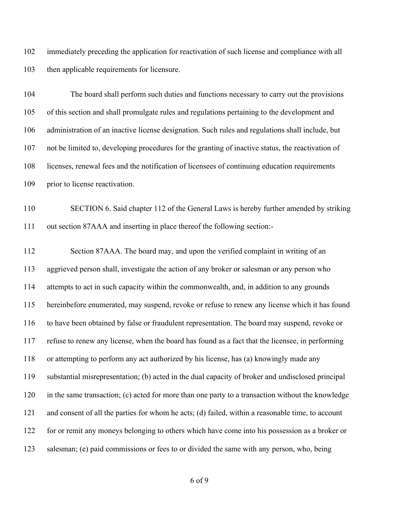immediately preceding the application for reactivation of such license and compliance with all then applicable requirements for licensure.

 The board shall perform such duties and functions necessary to carry out the provisions of this section and shall promulgate rules and regulations pertaining to the development and administration of an inactive license designation. Such rules and regulations shall include, but not be limited to, developing procedures for the granting of inactive status, the reactivation of licenses, renewal fees and the notification of licensees of continuing education requirements prior to license reactivation.

 SECTION 6. Said chapter 112 of the General Laws is hereby further amended by striking out section 87AAA and inserting in place thereof the following section:-

 Section 87AAA. The board may, and upon the verified complaint in writing of an aggrieved person shall, investigate the action of any broker or salesman or any person who attempts to act in such capacity within the commonwealth, and, in addition to any grounds hereinbefore enumerated, may suspend, revoke or refuse to renew any license which it has found to have been obtained by false or fraudulent representation. The board may suspend, revoke or refuse to renew any license, when the board has found as a fact that the licensee, in performing or attempting to perform any act authorized by his license, has (a) knowingly made any substantial misrepresentation; (b) acted in the dual capacity of broker and undisclosed principal in the same transaction; (c) acted for more than one party to a transaction without the knowledge and consent of all the parties for whom he acts; (d) failed, within a reasonable time, to account for or remit any moneys belonging to others which have come into his possession as a broker or salesman; (e) paid commissions or fees to or divided the same with any person, who, being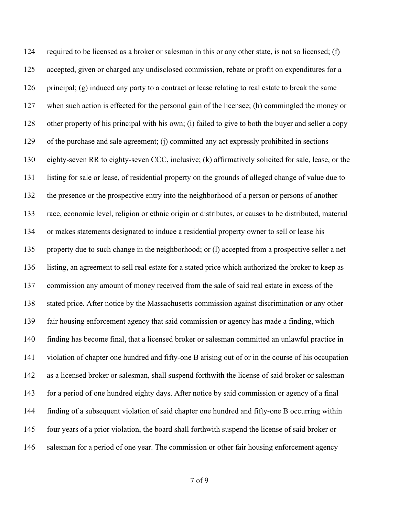required to be licensed as a broker or salesman in this or any other state, is not so licensed; (f) accepted, given or charged any undisclosed commission, rebate or profit on expenditures for a principal; (g) induced any party to a contract or lease relating to real estate to break the same when such action is effected for the personal gain of the licensee; (h) commingled the money or other property of his principal with his own; (i) failed to give to both the buyer and seller a copy of the purchase and sale agreement; (j) committed any act expressly prohibited in sections eighty-seven RR to eighty-seven CCC, inclusive; (k) affirmatively solicited for sale, lease, or the listing for sale or lease, of residential property on the grounds of alleged change of value due to the presence or the prospective entry into the neighborhood of a person or persons of another race, economic level, religion or ethnic origin or distributes, or causes to be distributed, material or makes statements designated to induce a residential property owner to sell or lease his property due to such change in the neighborhood; or (l) accepted from a prospective seller a net listing, an agreement to sell real estate for a stated price which authorized the broker to keep as commission any amount of money received from the sale of said real estate in excess of the stated price. After notice by the Massachusetts commission against discrimination or any other fair housing enforcement agency that said commission or agency has made a finding, which finding has become final, that a licensed broker or salesman committed an unlawful practice in violation of chapter one hundred and fifty-one B arising out of or in the course of his occupation as a licensed broker or salesman, shall suspend forthwith the license of said broker or salesman for a period of one hundred eighty days. After notice by said commission or agency of a final finding of a subsequent violation of said chapter one hundred and fifty-one B occurring within four years of a prior violation, the board shall forthwith suspend the license of said broker or 146 salesman for a period of one year. The commission or other fair housing enforcement agency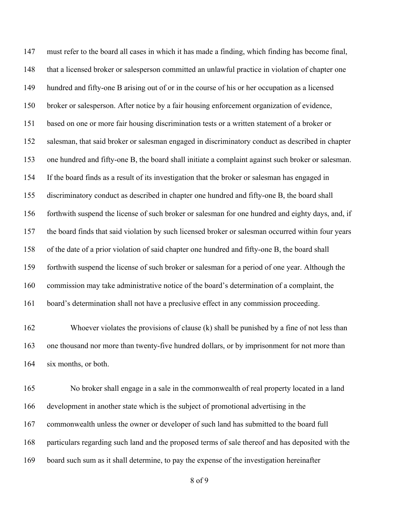must refer to the board all cases in which it has made a finding, which finding has become final, that a licensed broker or salesperson committed an unlawful practice in violation of chapter one hundred and fifty-one B arising out of or in the course of his or her occupation as a licensed broker or salesperson. After notice by a fair housing enforcement organization of evidence, based on one or more fair housing discrimination tests or a written statement of a broker or salesman, that said broker or salesman engaged in discriminatory conduct as described in chapter one hundred and fifty-one B, the board shall initiate a complaint against such broker or salesman. If the board finds as a result of its investigation that the broker or salesman has engaged in discriminatory conduct as described in chapter one hundred and fifty-one B, the board shall forthwith suspend the license of such broker or salesman for one hundred and eighty days, and, if the board finds that said violation by such licensed broker or salesman occurred within four years of the date of a prior violation of said chapter one hundred and fifty-one B, the board shall forthwith suspend the license of such broker or salesman for a period of one year. Although the commission may take administrative notice of the board's determination of a complaint, the board's determination shall not have a preclusive effect in any commission proceeding.

 Whoever violates the provisions of clause (k) shall be punished by a fine of not less than one thousand nor more than twenty-five hundred dollars, or by imprisonment for not more than six months, or both.

 No broker shall engage in a sale in the commonwealth of real property located in a land development in another state which is the subject of promotional advertising in the commonwealth unless the owner or developer of such land has submitted to the board full particulars regarding such land and the proposed terms of sale thereof and has deposited with the board such sum as it shall determine, to pay the expense of the investigation hereinafter